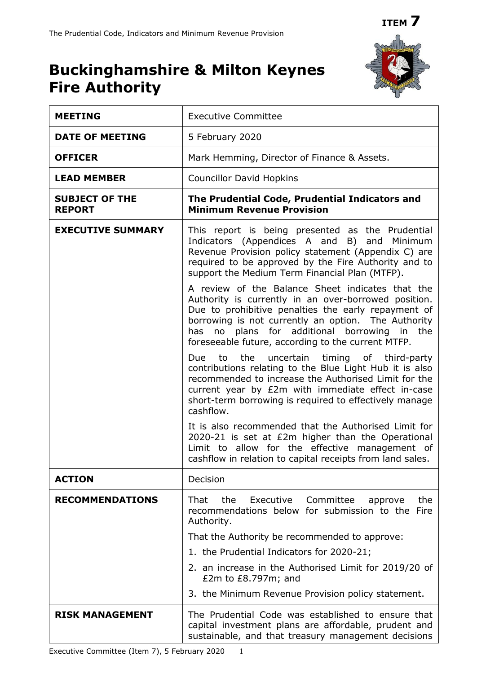

# **Buckinghamshire & Milton Keynes Fire Authority**

| <b>MEETING</b>                         | <b>Executive Committee</b>                                                                                                                                                                                                                                                                                                      |
|----------------------------------------|---------------------------------------------------------------------------------------------------------------------------------------------------------------------------------------------------------------------------------------------------------------------------------------------------------------------------------|
| <b>DATE OF MEETING</b>                 | 5 February 2020                                                                                                                                                                                                                                                                                                                 |
| <b>OFFICER</b>                         | Mark Hemming, Director of Finance & Assets.                                                                                                                                                                                                                                                                                     |
| <b>LEAD MEMBER</b>                     | <b>Councillor David Hopkins</b>                                                                                                                                                                                                                                                                                                 |
| <b>SUBJECT OF THE</b><br><b>REPORT</b> | The Prudential Code, Prudential Indicators and<br><b>Minimum Revenue Provision</b>                                                                                                                                                                                                                                              |
| <b>EXECUTIVE SUMMARY</b>               | This report is being presented as the Prudential<br>Indicators (Appendices A and B) and Minimum<br>Revenue Provision policy statement (Appendix C) are<br>required to be approved by the Fire Authority and to<br>support the Medium Term Financial Plan (MTFP).                                                                |
|                                        | A review of the Balance Sheet indicates that the<br>Authority is currently in an over-borrowed position.<br>Due to prohibitive penalties the early repayment of<br>borrowing is not currently an option. The Authority<br>no plans for additional borrowing in the<br>has<br>foreseeable future, according to the current MTFP. |
|                                        | timing of third-party<br>Due<br>to<br>the<br>uncertain<br>contributions relating to the Blue Light Hub it is also<br>recommended to increase the Authorised Limit for the<br>current year by £2m with immediate effect in-case<br>short-term borrowing is required to effectively manage<br>cashflow.                           |
|                                        | It is also recommended that the Authorised Limit for<br>2020-21 is set at £2m higher than the Operational<br>Limit to allow for the effective management of<br>cashflow in relation to capital receipts from land sales.                                                                                                        |
| <b>ACTION</b>                          | Decision                                                                                                                                                                                                                                                                                                                        |
| <b>RECOMMENDATIONS</b>                 | Executive<br>That<br>the<br>Committee<br>the<br>approve<br>recommendations below for submission to the Fire<br>Authority.                                                                                                                                                                                                       |
|                                        | That the Authority be recommended to approve:                                                                                                                                                                                                                                                                                   |
|                                        | 1. the Prudential Indicators for 2020-21;                                                                                                                                                                                                                                                                                       |
|                                        | 2. an increase in the Authorised Limit for 2019/20 of<br>£2m to $£8.797m$ ; and                                                                                                                                                                                                                                                 |
|                                        | 3. the Minimum Revenue Provision policy statement.                                                                                                                                                                                                                                                                              |
| <b>RISK MANAGEMENT</b>                 | The Prudential Code was established to ensure that<br>capital investment plans are affordable, prudent and<br>sustainable, and that treasury management decisions                                                                                                                                                               |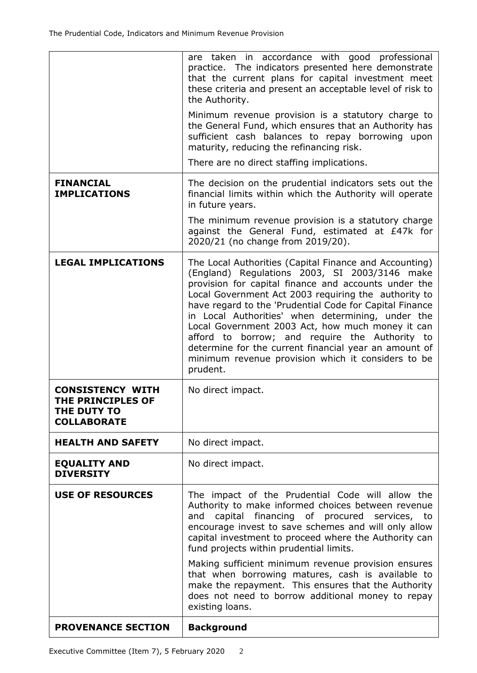| <b>PROVENANCE SECTION</b>                                                                | <b>Background</b>                                                                                                                                                                                                                                                                                                                                                                                                                                                                                                                                                        |
|------------------------------------------------------------------------------------------|--------------------------------------------------------------------------------------------------------------------------------------------------------------------------------------------------------------------------------------------------------------------------------------------------------------------------------------------------------------------------------------------------------------------------------------------------------------------------------------------------------------------------------------------------------------------------|
|                                                                                          | Making sufficient minimum revenue provision ensures<br>that when borrowing matures, cash is available to<br>make the repayment. This ensures that the Authority<br>does not need to borrow additional money to repay<br>existing loans.                                                                                                                                                                                                                                                                                                                                  |
| <b>USE OF RESOURCES</b>                                                                  | The impact of the Prudential Code will allow the<br>Authority to make informed choices between revenue<br>capital financing of procured services, to<br>and<br>encourage invest to save schemes and will only allow<br>capital investment to proceed where the Authority can<br>fund projects within prudential limits.                                                                                                                                                                                                                                                  |
| <b>EQUALITY AND</b><br><b>DIVERSITY</b>                                                  | No direct impact.                                                                                                                                                                                                                                                                                                                                                                                                                                                                                                                                                        |
| <b>HEALTH AND SAFETY</b>                                                                 | No direct impact.                                                                                                                                                                                                                                                                                                                                                                                                                                                                                                                                                        |
| <b>CONSISTENCY WITH</b><br><b>THE PRINCIPLES OF</b><br>THE DUTY TO<br><b>COLLABORATE</b> | No direct impact.                                                                                                                                                                                                                                                                                                                                                                                                                                                                                                                                                        |
| <b>LEGAL IMPLICATIONS</b>                                                                | The Local Authorities (Capital Finance and Accounting)<br>(England) Regulations 2003, SI 2003/3146 make<br>provision for capital finance and accounts under the<br>Local Government Act 2003 requiring the authority to<br>have regard to the 'Prudential Code for Capital Finance<br>in Local Authorities' when determining, under the<br>Local Government 2003 Act, how much money it can<br>afford to borrow; and require the Authority to<br>determine for the current financial year an amount of<br>minimum revenue provision which it considers to be<br>prudent. |
|                                                                                          | in future years.<br>The minimum revenue provision is a statutory charge<br>against the General Fund, estimated at £47k for<br>2020/21 (no change from 2019/20).                                                                                                                                                                                                                                                                                                                                                                                                          |
| <b>FINANCIAL</b><br><b>IMPLICATIONS</b>                                                  | The decision on the prudential indicators sets out the<br>financial limits within which the Authority will operate                                                                                                                                                                                                                                                                                                                                                                                                                                                       |
|                                                                                          | the General Fund, which ensures that an Authority has<br>sufficient cash balances to repay borrowing upon<br>maturity, reducing the refinancing risk.<br>There are no direct staffing implications.                                                                                                                                                                                                                                                                                                                                                                      |
|                                                                                          | practice. The indicators presented here demonstrate<br>that the current plans for capital investment meet<br>these criteria and present an acceptable level of risk to<br>the Authority.<br>Minimum revenue provision is a statutory charge to                                                                                                                                                                                                                                                                                                                           |
|                                                                                          | are taken in accordance with good professional                                                                                                                                                                                                                                                                                                                                                                                                                                                                                                                           |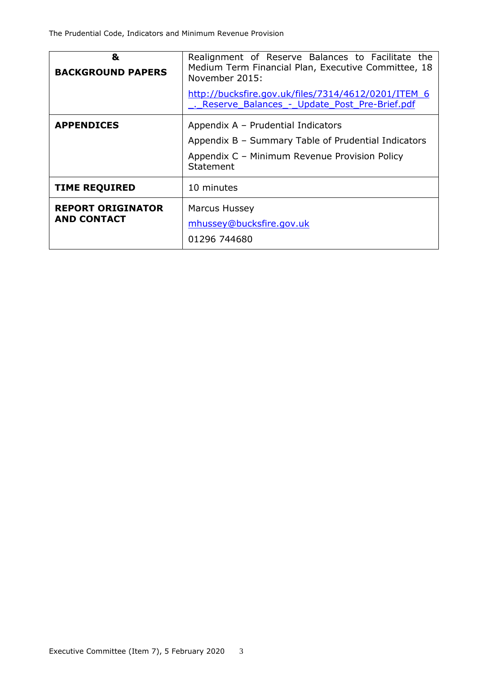| &<br><b>BACKGROUND PAPERS</b>                  | Realignment of Reserve Balances to Facilitate the<br>Medium Term Financial Plan, Executive Committee, 18<br>November 2015:<br>http://bucksfire.gov.uk/files/7314/4612/0201/ITEM 6<br>. Reserve Balances - Update Post Pre-Brief.pdf |
|------------------------------------------------|-------------------------------------------------------------------------------------------------------------------------------------------------------------------------------------------------------------------------------------|
| <b>APPENDICES</b>                              | Appendix A - Prudential Indicators<br>Appendix B - Summary Table of Prudential Indicators<br>Appendix C - Minimum Revenue Provision Policy<br>Statement                                                                             |
| <b>TIME REQUIRED</b>                           | 10 minutes                                                                                                                                                                                                                          |
| <b>REPORT ORIGINATOR</b><br><b>AND CONTACT</b> | <b>Marcus Hussey</b><br>mhussey@bucksfire.gov.uk<br>01296 744680                                                                                                                                                                    |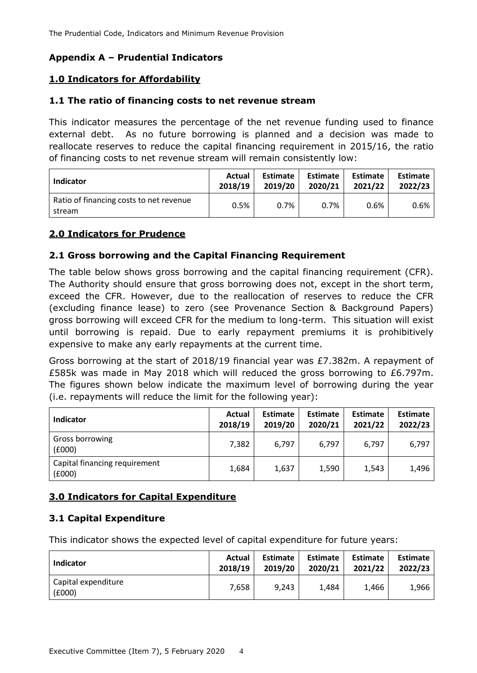# **Appendix A – Prudential Indicators**

# **1.0 Indicators for Affordability**

## **1.1 The ratio of financing costs to net revenue stream**

This indicator measures the percentage of the net revenue funding used to finance external debt. As no future borrowing is planned and a decision was made to reallocate reserves to reduce the capital financing requirement in 2015/16, the ratio of financing costs to net revenue stream will remain consistently low:

| <b>Indicator</b>                                  | Actual  | Estimate | Estimate | <b>Estimate</b> | <b>Estimate</b> |  |
|---------------------------------------------------|---------|----------|----------|-----------------|-----------------|--|
|                                                   | 2018/19 | 2019/20  | 2020/21  | 2021/22         | 2022/23         |  |
| Ratio of financing costs to net revenue<br>stream | 0.5%    | 0.7%     | 0.7%     | 0.6%            | $0.6\%$         |  |

# **2.0 Indicators for Prudence**

# **2.1 Gross borrowing and the Capital Financing Requirement**

The table below shows gross borrowing and the capital financing requirement (CFR). The Authority should ensure that gross borrowing does not, except in the short term, exceed the CFR. However, due to the reallocation of reserves to reduce the CFR (excluding finance lease) to zero (see Provenance Section & Background Papers) gross borrowing will exceed CFR for the medium to long-term. This situation will exist until borrowing is repaid. Due to early repayment premiums it is prohibitively expensive to make any early repayments at the current time.

Gross borrowing at the start of 2018/19 financial year was £7.382m. A repayment of £585k was made in May 2018 which will reduced the gross borrowing to £6.797m. The figures shown below indicate the maximum level of borrowing during the year (i.e. repayments will reduce the limit for the following year):

| Indicator                               | Actual<br>2018/19 | <b>Estimate</b><br>2019/20 | <b>Estimate</b><br>2020/21 | Estimate<br>2021/22 | <b>Estimate</b><br>2022/23 |
|-----------------------------------------|-------------------|----------------------------|----------------------------|---------------------|----------------------------|
| Gross borrowing<br>(£000)               | 7,382             | 6,797                      | 6,797                      | 6,797               | 6,797                      |
| Capital financing requirement<br>(£000) | 1,684             | 1,637                      | 1,590                      | 1,543               | 1.496                      |

# **3.0 Indicators for Capital Expenditure**

## **3.1 Capital Expenditure**

This indicator shows the expected level of capital expenditure for future years:

| Indicator                     | Actual  | <b>Estimate</b> | <b>Estimate</b> | <b>Estimate</b> | <b>Estimate</b> |  |
|-------------------------------|---------|-----------------|-----------------|-----------------|-----------------|--|
|                               | 2018/19 | 2019/20         | 2020/21         | 2021/22         | 2022/23         |  |
| Capital expenditure<br>(£000) | 7.658   | 9,243           | 1,484           | 1.466           | 1,966           |  |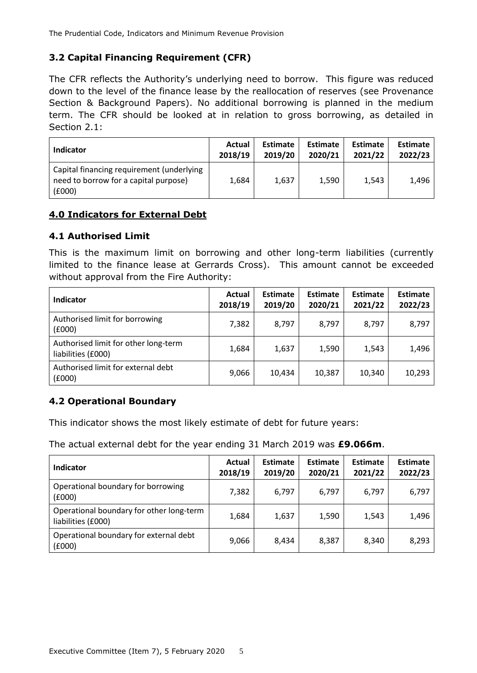# **3.2 Capital Financing Requirement (CFR)**

The CFR reflects the Authority's underlying need to borrow. This figure was reduced down to the level of the finance lease by the reallocation of reserves (see Provenance Section & Background Papers). No additional borrowing is planned in the medium term. The CFR should be looked at in relation to gross borrowing, as detailed in Section 2.1:

| <b>Indicator</b>                                                                             | Actual  | <b>Estimate</b> | <b>Estimate</b> | Estimate | <b>Estimate</b> |
|----------------------------------------------------------------------------------------------|---------|-----------------|-----------------|----------|-----------------|
|                                                                                              | 2018/19 | 2019/20         | 2020/21         | 2021/22  | 2022/23         |
| Capital financing requirement (underlying<br>need to borrow for a capital purpose)<br>(£000) | 1,684   | 1,637           | 1,590           | 1.543    | 1.496           |

# **4.0 Indicators for External Debt**

# **4.1 Authorised Limit**

This is the maximum limit on borrowing and other long-term liabilities (currently limited to the finance lease at Gerrards Cross). This amount cannot be exceeded without approval from the Fire Authority:

| Indicator                                                  | Actual<br>2018/19 | <b>Estimate</b><br>2019/20 | <b>Estimate</b><br>2020/21 | Estimate<br>2021/22 | <b>Estimate</b><br>2022/23 |
|------------------------------------------------------------|-------------------|----------------------------|----------------------------|---------------------|----------------------------|
| Authorised limit for borrowing<br>(£000)                   | 7,382             | 8,797                      | 8,797                      | 8,797               | 8,797                      |
| Authorised limit for other long-term<br>liabilities (£000) | 1,684             | 1,637                      | 1,590                      | 1,543               | 1,496                      |
| Authorised limit for external debt<br>(£000)               | 9,066             | 10,434                     | 10,387                     | 10,340              | 10,293                     |

# **4.2 Operational Boundary**

This indicator shows the most likely estimate of debt for future years:

The actual external debt for the year ending 31 March 2019 was **£9.066m**.

| <b>Indicator</b>                                               | Actual<br>2018/19 | <b>Estimate</b><br>2019/20 | <b>Estimate</b><br>2020/21 | Estimate<br>2021/22 | <b>Estimate</b><br>2022/23 |
|----------------------------------------------------------------|-------------------|----------------------------|----------------------------|---------------------|----------------------------|
| Operational boundary for borrowing<br>(6000)                   | 7,382             | 6,797                      | 6,797                      | 6,797               | 6,797                      |
| Operational boundary for other long-term<br>liabilities (£000) | 1,684             | 1,637                      | 1,590                      | 1,543               | 1,496                      |
| Operational boundary for external debt<br>(6000)               | 9,066             | 8,434                      | 8,387                      | 8.340               | 8,293                      |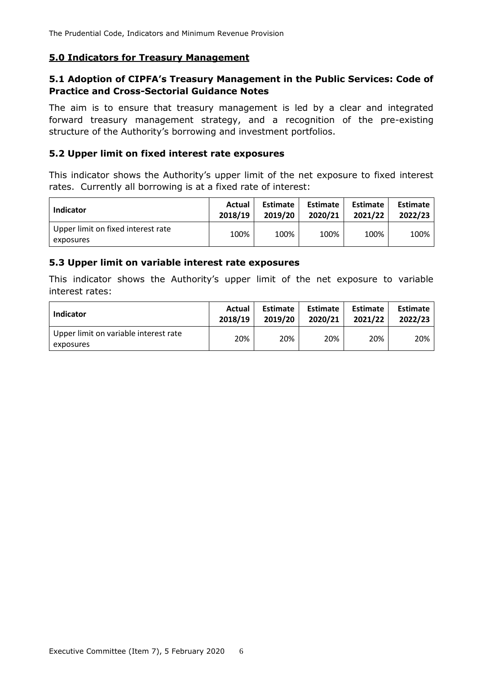## **5.0 Indicators for Treasury Management**

# **5.1 Adoption of CIPFA's Treasury Management in the Public Services: Code of Practice and Cross-Sectorial Guidance Notes**

The aim is to ensure that treasury management is led by a clear and integrated forward treasury management strategy, and a recognition of the pre-existing structure of the Authority's borrowing and investment portfolios.

## **5.2 Upper limit on fixed interest rate exposures**

This indicator shows the Authority's upper limit of the net exposure to fixed interest rates. Currently all borrowing is at a fixed rate of interest:

| <b>Indicator</b>                                | Actual  | Estimate | <b>Estimate</b> | Estimate | <b>Estimate</b> |  |
|-------------------------------------------------|---------|----------|-----------------|----------|-----------------|--|
|                                                 | 2018/19 | 2019/20  | 2020/21         | 2021/22  | 2022/23         |  |
| Upper limit on fixed interest rate<br>exposures | 100%    | 100%     | 100%            | 100%     | 100%            |  |

#### **5.3 Upper limit on variable interest rate exposures**

This indicator shows the Authority's upper limit of the net exposure to variable interest rates:

| <b>Indicator</b>                                   | Actual  | <b>Estimate</b> | <b>Estimate</b> | Estimate | <b>Estimate</b> |
|----------------------------------------------------|---------|-----------------|-----------------|----------|-----------------|
|                                                    | 2018/19 | 2019/20         | 2020/21         | 2021/22  | 2022/23         |
| Upper limit on variable interest rate<br>exposures | 20%     | 20%             | 20%             | 20%      | 20%             |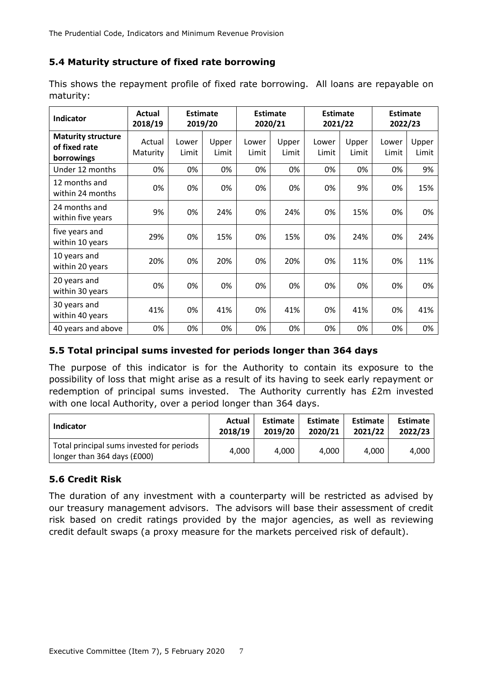# **5.4 Maturity structure of fixed rate borrowing**

| Indicator                                                | <b>Actual</b><br>2018/19 |                | <b>Estimate</b><br>2019/20 |                | <b>Estimate</b><br>2020/21 |                | <b>Estimate</b><br>2021/22 |                | <b>Estimate</b><br>2022/23 |  |
|----------------------------------------------------------|--------------------------|----------------|----------------------------|----------------|----------------------------|----------------|----------------------------|----------------|----------------------------|--|
| <b>Maturity structure</b><br>of fixed rate<br>borrowings | Actual<br>Maturity       | Lower<br>Limit | Upper<br>Limit             | Lower<br>Limit | Upper<br>Limit             | Lower<br>Limit | Upper<br>Limit             | Lower<br>Limit | Upper<br>Limit             |  |
| Under 12 months                                          | 0%                       | 0%             | 0%                         | 0%             | 0%                         | 0%             | 0%                         | 0%             | 9%                         |  |
| 12 months and<br>within 24 months                        | 0%                       | 0%             | 0%                         | 0%             | 0%                         | 0%             | 9%                         | 0%             | 15%                        |  |
| 24 months and<br>within five years                       | 9%                       | 0%             | 24%                        | 0%             | 24%                        | 0%             | 15%                        | 0%             | 0%                         |  |
| five years and<br>within 10 years                        | 29%                      | 0%             | 15%                        | 0%             | 15%                        | 0%             | 24%                        | 0%             | 24%                        |  |
| 10 years and<br>within 20 years                          | 20%                      | 0%             | 20%                        | 0%             | 20%                        | 0%             | 11%                        | 0%             | 11%                        |  |
| 20 years and<br>within 30 years                          | 0%                       | 0%             | 0%                         | 0%             | 0%                         | 0%             | 0%                         | 0%             | 0%                         |  |
| 30 years and<br>within 40 years                          | 41%                      | 0%             | 41%                        | 0%             | 41%                        | 0%             | 41%                        | 0%             | 41%                        |  |
| 40 years and above                                       | 0%                       | 0%             | 0%                         | 0%             | 0%                         | 0%             | 0%                         | 0%             | 0%                         |  |

This shows the repayment profile of fixed rate borrowing. All loans are repayable on maturity:

# **5.5 Total principal sums invested for periods longer than 364 days**

The purpose of this indicator is for the Authority to contain its exposure to the possibility of loss that might arise as a result of its having to seek early repayment or redemption of principal sums invested. The Authority currently has £2m invested with one local Authority, over a period longer than 364 days.

| <b>Indicator</b>                                                         | Actual  | Estimate | <b>Estimate</b> | <b>Estimate</b> | <b>Estimate</b> |
|--------------------------------------------------------------------------|---------|----------|-----------------|-----------------|-----------------|
|                                                                          | 2018/19 | 2019/20  | 2020/21         | 2021/22         | 2022/23         |
| Total principal sums invested for periods<br>longer than 364 days (£000) | 4.000   | 4,000    | 4.000           | 4.000           | 4.000           |

# **5.6 Credit Risk**

The duration of any investment with a counterparty will be restricted as advised by our treasury management advisors. The advisors will base their assessment of credit risk based on credit ratings provided by the major agencies, as well as reviewing credit default swaps (a proxy measure for the markets perceived risk of default).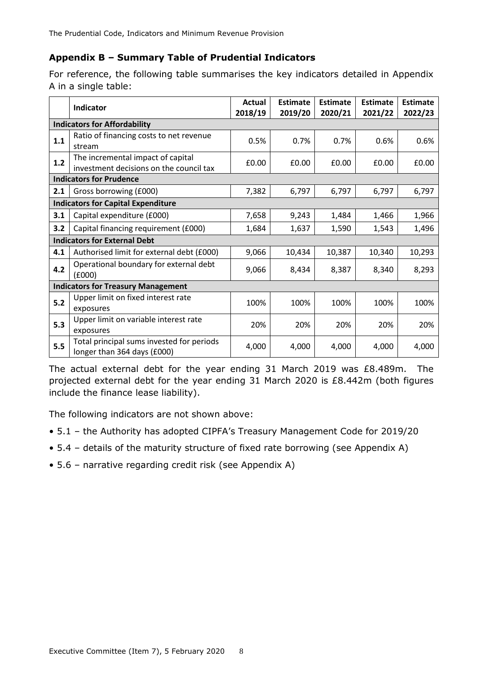# **Appendix B – Summary Table of Prudential Indicators**

For reference, the following table summarises the key indicators detailed in Appendix A in a single table:

|                                           | <b>Indicator</b>                                                             | <b>Actual</b><br>2018/19 | <b>Estimate</b><br>2019/20 | <b>Estimate</b><br>2020/21 | <b>Estimate</b><br>2021/22 | <b>Estimate</b><br>2022/23 |  |  |  |  |
|-------------------------------------------|------------------------------------------------------------------------------|--------------------------|----------------------------|----------------------------|----------------------------|----------------------------|--|--|--|--|
| <b>Indicators for Affordability</b>       |                                                                              |                          |                            |                            |                            |                            |  |  |  |  |
| 1.1                                       | Ratio of financing costs to net revenue<br>stream                            | 0.5%                     | 0.7%                       | 0.7%                       | 0.6%                       | 0.6%                       |  |  |  |  |
| 1.2                                       | The incremental impact of capital<br>investment decisions on the council tax | £0.00                    | £0.00                      | £0.00                      | £0.00                      | £0.00                      |  |  |  |  |
| <b>Indicators for Prudence</b>            |                                                                              |                          |                            |                            |                            |                            |  |  |  |  |
| 2.1                                       | Gross borrowing (£000)                                                       | 7,382                    | 6,797                      | 6,797                      | 6,797                      | 6,797                      |  |  |  |  |
| <b>Indicators for Capital Expenditure</b> |                                                                              |                          |                            |                            |                            |                            |  |  |  |  |
| 3.1                                       | Capital expenditure (£000)                                                   | 7,658                    | 9,243                      | 1,484                      | 1,466                      | 1,966                      |  |  |  |  |
| 3.2                                       | Capital financing requirement (£000)                                         | 1,684                    | 1,637                      | 1,590                      | 1,543                      | 1,496                      |  |  |  |  |
| <b>Indicators for External Debt</b>       |                                                                              |                          |                            |                            |                            |                            |  |  |  |  |
| 4.1                                       | Authorised limit for external debt (£000)                                    | 9,066                    | 10,434                     | 10,387                     | 10,340                     | 10,293                     |  |  |  |  |
| 4.2                                       | Operational boundary for external debt<br>(£000)                             | 9,066                    | 8,434                      | 8,387                      | 8,340                      | 8,293                      |  |  |  |  |
| <b>Indicators for Treasury Management</b> |                                                                              |                          |                            |                            |                            |                            |  |  |  |  |
| 5.2                                       | Upper limit on fixed interest rate<br>exposures                              | 100%                     | 100%                       | 100%                       | 100%                       | 100%                       |  |  |  |  |
| 5.3                                       | Upper limit on variable interest rate<br>exposures                           | 20%                      | 20%                        | 20%                        | 20%                        | 20%                        |  |  |  |  |
| 5.5                                       | Total principal sums invested for periods<br>longer than 364 days (£000)     | 4,000                    | 4,000                      | 4,000                      | 4,000                      | 4,000                      |  |  |  |  |

The actual external debt for the year ending 31 March 2019 was £8.489m. The projected external debt for the year ending 31 March 2020 is £8.442m (both figures include the finance lease liability).

The following indicators are not shown above:

- 5.1 the Authority has adopted CIPFA's Treasury Management Code for 2019/20
- 5.4 details of the maturity structure of fixed rate borrowing (see Appendix A)
- 5.6 narrative regarding credit risk (see Appendix A)